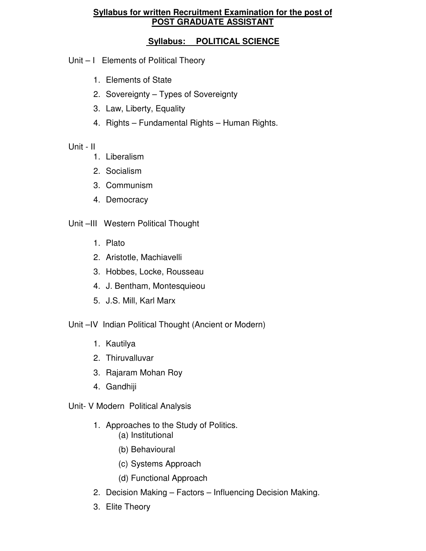### **Syllabus for written Recruitment Examination for the post of POST GRADUATE ASSISTANT**

## **Syllabus: POLITICAL SCIENCE**

- Unit I Elements of Political Theory
	- 1. Elements of State
	- 2. Sovereignty Types of Sovereignty
	- 3. Law, Liberty, Equality
	- 4. Rights Fundamental Rights Human Rights.

# Unit - II

- 1. Liberalism
- 2. Socialism
- 3. Communism
- 4. Democracy

# Unit –III Western Political Thought

- 1. Plato
- 2. Aristotle, Machiavelli
- 3. Hobbes, Locke, Rousseau
- 4. J. Bentham, Montesquieou
- 5. J.S. Mill, Karl Marx
- Unit –IV Indian Political Thought (Ancient or Modern)
	- 1. Kautilya
	- 2. Thiruvalluvar
	- 3. Rajaram Mohan Roy
	- 4. Gandhiji

# Unit- V Modern Political Analysis

- 1. Approaches to the Study of Politics.
	- (a) Institutional
	- (b) Behavioural
	- (c) Systems Approach
	- (d) Functional Approach
- 2. Decision Making Factors Influencing Decision Making.
- 3. Elite Theory